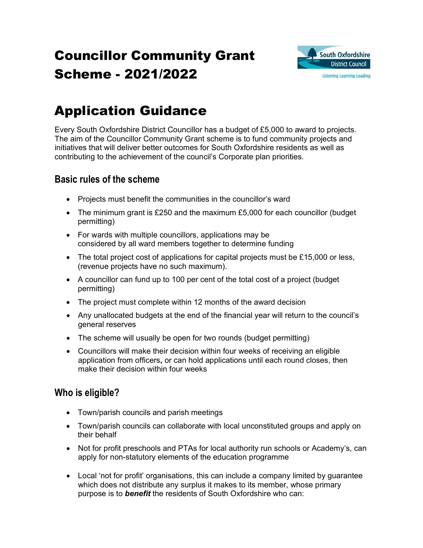# Councillor Community Grant Scheme - 2021/2022



## Application Guidance

Every South Oxfordshire District Councillor has a budget of £5,000 to award to projects. The aim of the Councillor Community Grant scheme is to fund community projects and initiatives that will deliver better outcomes for South Oxfordshire residents as well as contributing to the achievement of the council's Corporate plan priorities.

## Basic rules of the scheme

- Projects must benefit the communities in the councillor's ward
- The minimum grant is £250 and the maximum £5,000 for each councillor (budget permitting)
- For wards with multiple councillors, applications may be considered by all ward members together to determine funding
- $\bullet$  The total project cost of applications for capital projects must be £15,000 or less, (revenue projects have no such maximum).
- A councillor can fund up to 100 per cent of the total cost of a project (budget permitting)
- The project must complete within 12 months of the award decision
- Any unallocated budgets at the end of the financial year will return to the council's general reserves
- The scheme will usually be open for two rounds (budget permitting)
- Councillors will make their decision within four weeks of receiving an eligible application from officers, or can hold applications until each round closes, then make their decision within four weeks

## Who is eligible?

- Town/parish councils and parish meetings
- Town/parish councils can collaborate with local unconstituted groups and apply on their behalf
- Not for profit preschools and PTAs for local authority run schools or Academy's, can apply for non-statutory elements of the education programme
- Local 'not for profit' organisations, this can include a company limited by guarantee which does not distribute any surplus it makes to its member, whose primary purpose is to **benefit** the residents of South Oxfordshire who can: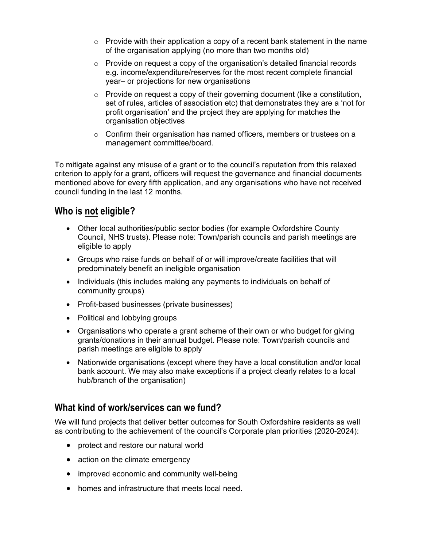- $\circ$  Provide with their application a copy of a recent bank statement in the name of the organisation applying (no more than two months old)
- o Provide on request a copy of the organisation's detailed financial records e.g. income/expenditure/reserves for the most recent complete financial year– or projections for new organisations
- $\circ$  Provide on request a copy of their governing document (like a constitution, set of rules, articles of association etc) that demonstrates they are a 'not for profit organisation' and the project they are applying for matches the organisation objectives
- $\circ$  Confirm their organisation has named officers, members or trustees on a management committee/board.

To mitigate against any misuse of a grant or to the council's reputation from this relaxed criterion to apply for a grant, officers will request the governance and financial documents mentioned above for every fifth application, and any organisations who have not received council funding in the last 12 months.

## Who is not eligible?

- Other local authorities/public sector bodies (for example Oxfordshire County Council, NHS trusts). Please note: Town/parish councils and parish meetings are eligible to apply
- Groups who raise funds on behalf of or will improve/create facilities that will predominately benefit an ineligible organisation
- Individuals (this includes making any payments to individuals on behalf of community groups)
- Profit-based businesses (private businesses)
- Political and lobbying groups
- Organisations who operate a grant scheme of their own or who budget for giving grants/donations in their annual budget. Please note: Town/parish councils and parish meetings are eligible to apply
- Nationwide organisations (except where they have a local constitution and/or local bank account. We may also make exceptions if a project clearly relates to a local hub/branch of the organisation)

## What kind of work/services can we fund?

We will fund projects that deliver better outcomes for South Oxfordshire residents as well as contributing to the achievement of the council's Corporate plan priorities (2020-2024):

- protect and restore our natural world
- action on the climate emergency
- improved economic and community well-being
- homes and infrastructure that meets local need.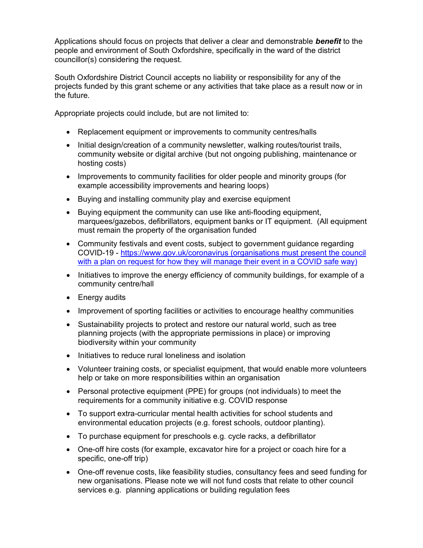Applications should focus on projects that deliver a clear and demonstrable **benefit** to the people and environment of South Oxfordshire, specifically in the ward of the district councillor(s) considering the request.

South Oxfordshire District Council accepts no liability or responsibility for any of the projects funded by this grant scheme or any activities that take place as a result now or in the future.

Appropriate projects could include, but are not limited to:

- Replacement equipment or improvements to community centres/halls
- Initial design/creation of a community newsletter, walking routes/tourist trails, community website or digital archive (but not ongoing publishing, maintenance or hosting costs)
- Improvements to community facilities for older people and minority groups (for example accessibility improvements and hearing loops)
- Buying and installing community play and exercise equipment
- Buying equipment the community can use like anti-flooding equipment, marquees/gazebos, defibrillators, equipment banks or IT equipment. (All equipment must remain the property of the organisation funded
- Community festivals and event costs, subject to government guidance regarding COVID-19 - https://www.gov.uk/coronavirus (organisations must present the council with a plan on request for how they will manage their event in a COVID safe way)
- Initiatives to improve the energy efficiency of community buildings, for example of a community centre/hall
- Energy audits
- Improvement of sporting facilities or activities to encourage healthy communities
- Sustainability projects to protect and restore our natural world, such as tree planning projects (with the appropriate permissions in place) or improving biodiversity within your community
- Initiatives to reduce rural loneliness and isolation
- Volunteer training costs, or specialist equipment, that would enable more volunteers help or take on more responsibilities within an organisation
- Personal protective equipment (PPE) for groups (not individuals) to meet the requirements for a community initiative e.g. COVID response
- To support extra-curricular mental health activities for school students and environmental education projects (e.g. forest schools, outdoor planting).
- To purchase equipment for preschools e.g. cycle racks, a defibrillator
- One-off hire costs (for example, excavator hire for a project or coach hire for a specific, one-off trip)
- One-off revenue costs, like feasibility studies, consultancy fees and seed funding for new organisations. Please note we will not fund costs that relate to other council services e.g. planning applications or building regulation fees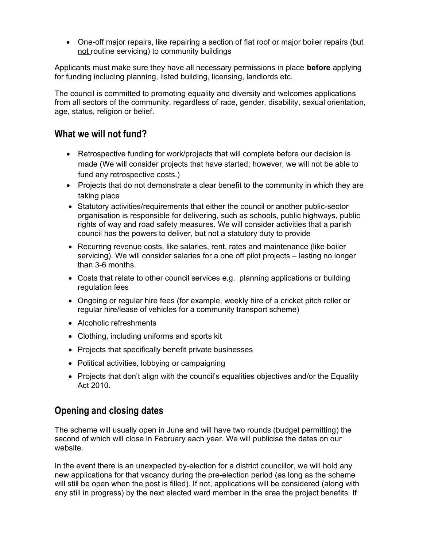One-off major repairs, like repairing a section of flat roof or major boiler repairs (but not routine servicing) to community buildings

Applicants must make sure they have all necessary permissions in place **before** applying for funding including planning, listed building, licensing, landlords etc.

The council is committed to promoting equality and diversity and welcomes applications from all sectors of the community, regardless of race, gender, disability, sexual orientation, age, status, religion or belief.

#### What we will not fund?

- Retrospective funding for work/projects that will complete before our decision is made (We will consider projects that have started; however, we will not be able to fund any retrospective costs.)
- Projects that do not demonstrate a clear benefit to the community in which they are taking place
- Statutory activities/requirements that either the council or another public-sector organisation is responsible for delivering, such as schools, public highways, public rights of way and road safety measures. We will consider activities that a parish council has the powers to deliver, but not a statutory duty to provide
- Recurring revenue costs, like salaries, rent, rates and maintenance (like boiler servicing). We will consider salaries for a one off pilot projects – lasting no longer than 3-6 months.
- Costs that relate to other council services e.g. planning applications or building regulation fees
- Ongoing or regular hire fees (for example, weekly hire of a cricket pitch roller or regular hire/lease of vehicles for a community transport scheme)
- Alcoholic refreshments
- Clothing, including uniforms and sports kit
- Projects that specifically benefit private businesses
- Political activities, lobbying or campaigning
- Projects that don't align with the council's equalities objectives and/or the Equality Act 2010.

## Opening and closing dates

The scheme will usually open in June and will have two rounds (budget permitting) the second of which will close in February each year. We will publicise the dates on our website.

In the event there is an unexpected by-election for a district councillor, we will hold any new applications for that vacancy during the pre-election period (as long as the scheme will still be open when the post is filled). If not, applications will be considered (along with any still in progress) by the next elected ward member in the area the project benefits. If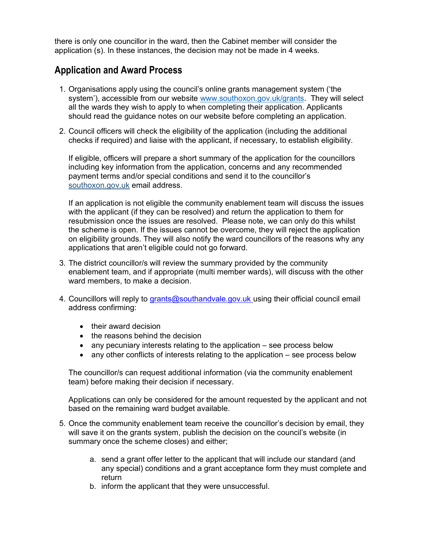there is only one councillor in the ward, then the Cabinet member will consider the application (s). In these instances, the decision may not be made in 4 weeks.

### Application and Award Process

- 1. Organisations apply using the council's online grants management system ('the system'), accessible from our website www.southoxon.gov.uk/grants. They will select all the wards they wish to apply to when completing their application. Applicants should read the guidance notes on our website before completing an application.
- 2. Council officers will check the eligibility of the application (including the additional checks if required) and liaise with the applicant, if necessary, to establish eligibility.

If eligible, officers will prepare a short summary of the application for the councillors including key information from the application, concerns and any recommended payment terms and/or special conditions and send it to the councillor's southoxon.gov.uk email address.

If an application is not eligible the community enablement team will discuss the issues with the applicant (if they can be resolved) and return the application to them for resubmission once the issues are resolved. Please note, we can only do this whilst the scheme is open. If the issues cannot be overcome, they will reject the application on eligibility grounds. They will also notify the ward councillors of the reasons why any applications that aren't eligible could not go forward.

- 3. The district councillor/s will review the summary provided by the community enablement team, and if appropriate (multi member wards), will discuss with the other ward members, to make a decision.
- 4. Councillors will reply to grants@southandvale.gov.uk using their official council email address confirming:
	- their award decision
	- the reasons behind the decision
	- any pecuniary interests relating to the application see process below
	- any other conflicts of interests relating to the application see process below

The councillor/s can request additional information (via the community enablement team) before making their decision if necessary.

Applications can only be considered for the amount requested by the applicant and not based on the remaining ward budget available.

- 5. Once the community enablement team receive the councillor's decision by email, they will save it on the grants system, publish the decision on the council's website (in summary once the scheme closes) and either;
	- a. send a grant offer letter to the applicant that will include our standard (and any special) conditions and a grant acceptance form they must complete and return
	- b. inform the applicant that they were unsuccessful.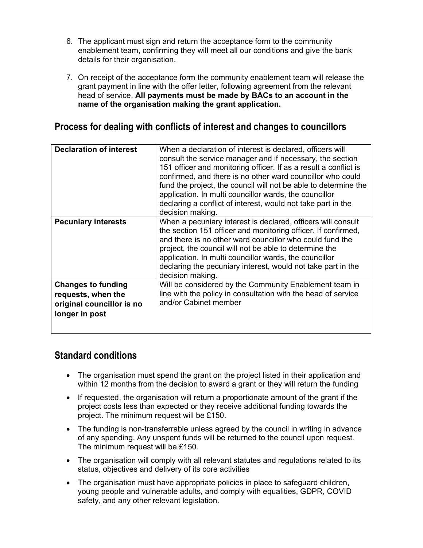- 6. The applicant must sign and return the acceptance form to the community enablement team, confirming they will meet all our conditions and give the bank details for their organisation.
- 7. On receipt of the acceptance form the community enablement team will release the grant payment in line with the offer letter, following agreement from the relevant head of service. All payments must be made by BACs to an account in the name of the organisation making the grant application.

## Process for dealing with conflicts of interest and changes to councillors

| <b>Declaration of interest</b>                                                                 | When a declaration of interest is declared, officers will<br>consult the service manager and if necessary, the section<br>151 officer and monitoring officer. If as a result a conflict is<br>confirmed, and there is no other ward councillor who could<br>fund the project, the council will not be able to determine the<br>application. In multi councillor wards, the councillor<br>declaring a conflict of interest, would not take part in the<br>decision making. |
|------------------------------------------------------------------------------------------------|---------------------------------------------------------------------------------------------------------------------------------------------------------------------------------------------------------------------------------------------------------------------------------------------------------------------------------------------------------------------------------------------------------------------------------------------------------------------------|
| <b>Pecuniary interests</b>                                                                     | When a pecuniary interest is declared, officers will consult<br>the section 151 officer and monitoring officer. If confirmed,<br>and there is no other ward councillor who could fund the<br>project, the council will not be able to determine the<br>application. In multi councillor wards, the councillor<br>declaring the pecuniary interest, would not take part in the<br>decision making.                                                                         |
| <b>Changes to funding</b><br>requests, when the<br>original councillor is no<br>longer in post | Will be considered by the Community Enablement team in<br>line with the policy in consultation with the head of service<br>and/or Cabinet member                                                                                                                                                                                                                                                                                                                          |

## Standard conditions

- The organisation must spend the grant on the project listed in their application and within 12 months from the decision to award a grant or they will return the funding
- If requested, the organisation will return a proportionate amount of the grant if the project costs less than expected or they receive additional funding towards the project. The minimum request will be £150.
- The funding is non-transferrable unless agreed by the council in writing in advance of any spending. Any unspent funds will be returned to the council upon request. The minimum request will be £150.
- The organisation will comply with all relevant statutes and regulations related to its status, objectives and delivery of its core activities
- The organisation must have appropriate policies in place to safeguard children, young people and vulnerable adults, and comply with equalities, GDPR, COVID safety, and any other relevant legislation.